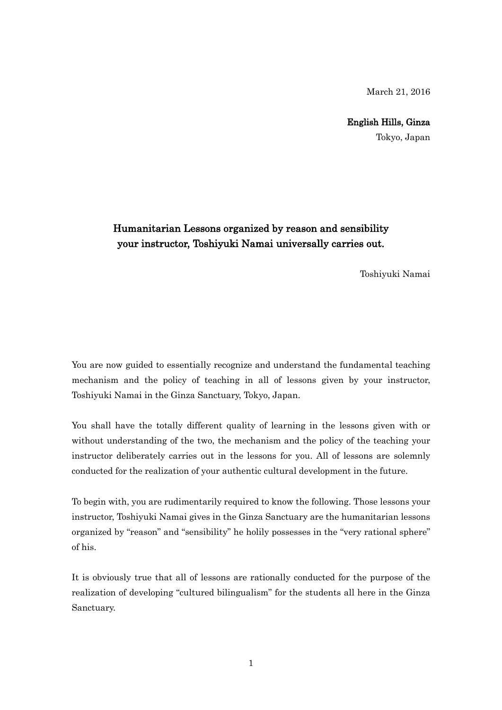March 21, 2016

## English Hills, Ginza

Tokyo, Japan

## Humanitarian Lessons organized by reason and sensibility your instructor, Toshiyuki Namai universally carries out.

Toshiyuki Namai

You are now guided to essentially recognize and understand the fundamental teaching mechanism and the policy of teaching in all of lessons given by your instructor, Toshiyuki Namai in the Ginza Sanctuary, Tokyo, Japan.

You shall have the totally different quality of learning in the lessons given with or without understanding of the two, the mechanism and the policy of the teaching your instructor deliberately carries out in the lessons for you. All of lessons are solemnly conducted for the realization of your authentic cultural development in the future.

To begin with, you are rudimentarily required to know the following. Those lessons your instructor, Toshiyuki Namai gives in the Ginza Sanctuary are the humanitarian lessons organized by "reason" and "sensibility" he holily possesses in the "very rational sphere" of his.

It is obviously true that all of lessons are rationally conducted for the purpose of the realization of developing "cultured bilingualism" for the students all here in the Ginza Sanctuary.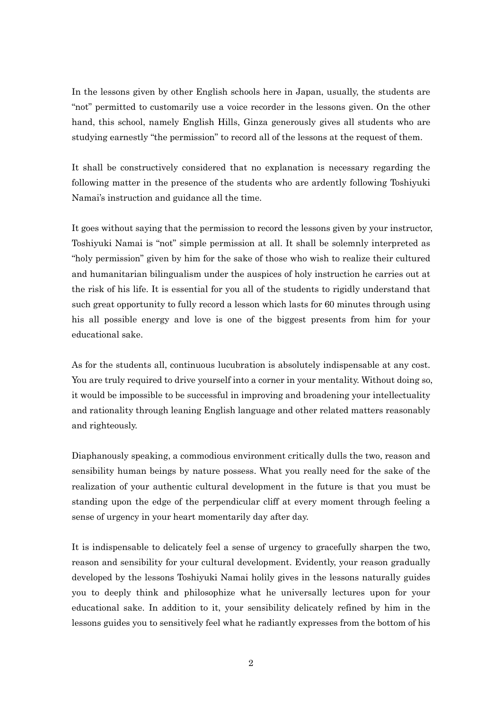In the lessons given by other English schools here in Japan, usually, the students are "not" permitted to customarily use a voice recorder in the lessons given. On the other hand, this school, namely English Hills, Ginza generously gives all students who are studying earnestly "the permission" to record all of the lessons at the request of them.

It shall be constructively considered that no explanation is necessary regarding the following matter in the presence of the students who are ardently following Toshiyuki Namai's instruction and guidance all the time.

It goes without saying that the permission to record the lessons given by your instructor, Toshiyuki Namai is "not" simple permission at all. It shall be solemnly interpreted as "holy permission" given by him for the sake of those who wish to realize their cultured and humanitarian bilingualism under the auspices of holy instruction he carries out at the risk of his life. It is essential for you all of the students to rigidly understand that such great opportunity to fully record a lesson which lasts for 60 minutes through using his all possible energy and love is one of the biggest presents from him for your educational sake.

As for the students all, continuous lucubration is absolutely indispensable at any cost. You are truly required to drive yourself into a corner in your mentality. Without doing so, it would be impossible to be successful in improving and broadening your intellectuality and rationality through leaning English language and other related matters reasonably and righteously.

Diaphanously speaking, a commodious environment critically dulls the two, reason and sensibility human beings by nature possess. What you really need for the sake of the realization of your authentic cultural development in the future is that you must be standing upon the edge of the perpendicular cliff at every moment through feeling a sense of urgency in your heart momentarily day after day.

It is indispensable to delicately feel a sense of urgency to gracefully sharpen the two, reason and sensibility for your cultural development. Evidently, your reason gradually developed by the lessons Toshiyuki Namai holily gives in the lessons naturally guides you to deeply think and philosophize what he universally lectures upon for your educational sake. In addition to it, your sensibility delicately refined by him in the lessons guides you to sensitively feel what he radiantly expresses from the bottom of his